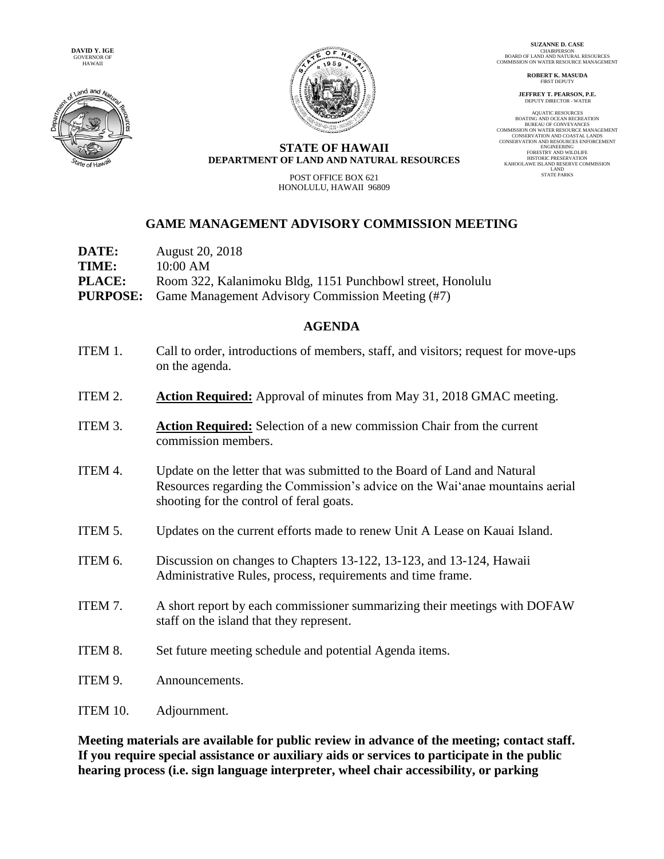



**SUZANNE D. CASE** CHAIRPERSON BOARD OF LAND AND NATURAL RESOURCES COMMISSION ON WATER RESOURCE MANAGEMENT

> **ROBERT K. MASUDA FIRST DEPUTY**

**JEFFREY T. PEARSON, P.E.** DEPUTY DIRECTOR - WATER

AQUATIC RESOURCES BOATING AND OCEAN RECREATION BUREAU OF CONVEYANCES BUKEAU OF CONVETANCES<br>COMMISSION ON WATER RESOURCE MANAGEMENT CONSERVATION AND COASTAL LANDS CONSERVATION AND RESOURCES ENFORCEMENT ENGINEERING ENGINEERING<br>FORESTRY AND WILDLIFE HISTORIC PRESERVATION KAHOOLAWE ISLAND RESERVE COMMISSION LAND STATE PARKS

## **STATE OF HAWAII DEPARTMENT OF LAND AND NATURAL RESOURCES**

POST OFFICE BOX 621 HONOLULU, HAWAII 96809

## **GAME MANAGEMENT ADVISORY COMMISSION MEETING**

| <b>August 20, 2018</b>                                           |
|------------------------------------------------------------------|
| 10:00 AM                                                         |
| Room 322, Kalanimoku Bldg, 1151 Punchbowl street, Honolulu       |
| <b>PURPOSE:</b> Game Management Advisory Commission Meeting (#7) |
|                                                                  |

## **AGENDA**

- ITEM 1. Call to order, introductions of members, staff, and visitors; request for move-ups on the agenda.
- ITEM 2. **Action Required:** Approval of minutes from May 31, 2018 GMAC meeting.
- ITEM 3. **Action Required:** Selection of a new commission Chair from the current commission members.
- ITEM 4. Update on the letter that was submitted to the Board of Land and Natural Resources regarding the Commission's advice on the Wai'anae mountains aerial shooting for the control of feral goats.
- ITEM 5. Updates on the current efforts made to renew Unit A Lease on Kauai Island.
- ITEM 6. Discussion on changes to Chapters 13-122, 13-123, and 13-124, Hawaii Administrative Rules, process, requirements and time frame.
- ITEM 7. A short report by each commissioner summarizing their meetings with DOFAW staff on the island that they represent.
- ITEM 8. Set future meeting schedule and potential Agenda items.
- ITEM 9. Announcements.
- ITEM 10. Adjournment.

**Meeting materials are available for public review in advance of the meeting; contact staff. If you require special assistance or auxiliary aids or services to participate in the public hearing process (i.e. sign language interpreter, wheel chair accessibility, or parking**